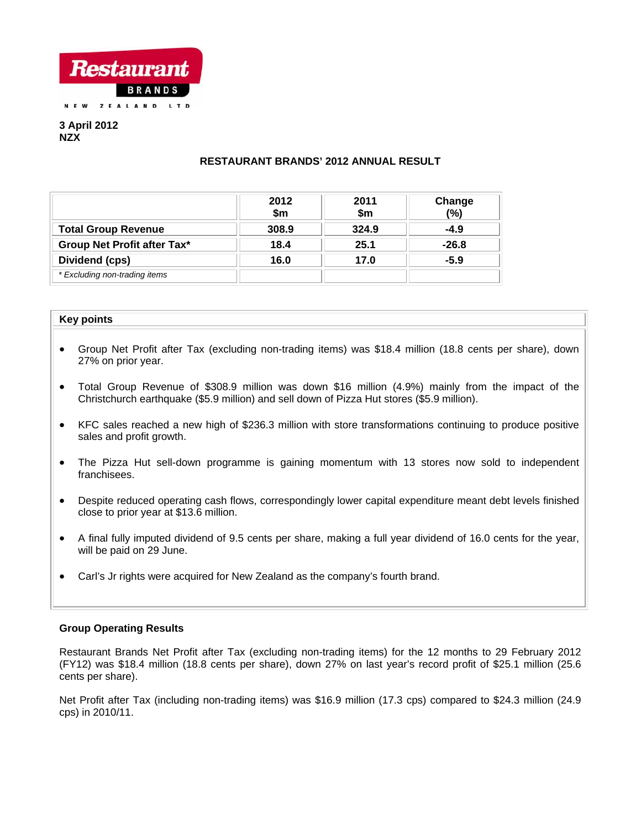

**3 April 2012 NZX** 

# **RESTAURANT BRANDS' 2012 ANNUAL RESULT**

|                               | 2012<br>\$m | 2011<br>\$m | Change<br>(%) |
|-------------------------------|-------------|-------------|---------------|
| <b>Total Group Revenue</b>    | 308.9       | 324.9       | $-4.9$        |
| Group Net Profit after Tax*   | 18.4        | 25.1        | $-26.8$       |
| Dividend (cps)                | 16.0        | 17.0        | $-5.9$        |
| * Excluding non-trading items |             |             |               |

#### **Key points**

- Group Net Profit after Tax (excluding non-trading items) was \$18.4 million (18.8 cents per share), down 27% on prior year.
- Total Group Revenue of \$308.9 million was down \$16 million (4.9%) mainly from the impact of the Christchurch earthquake (\$5.9 million) and sell down of Pizza Hut stores (\$5.9 million).
- KFC sales reached a new high of \$236.3 million with store transformations continuing to produce positive sales and profit growth.
- The Pizza Hut sell-down programme is gaining momentum with 13 stores now sold to independent franchisees.
- Despite reduced operating cash flows, correspondingly lower capital expenditure meant debt levels finished close to prior year at \$13.6 million.
- A final fully imputed dividend of 9.5 cents per share, making a full year dividend of 16.0 cents for the year, will be paid on 29 June.
- Carl's Jr rights were acquired for New Zealand as the company's fourth brand.

## **Group Operating Results**

Restaurant Brands Net Profit after Tax (excluding non-trading items) for the 12 months to 29 February 2012 (FY12) was \$18.4 million (18.8 cents per share), down 27% on last year's record profit of \$25.1 million (25.6 cents per share).

Net Profit after Tax (including non-trading items) was \$16.9 million (17.3 cps) compared to \$24.3 million (24.9 cps) in 2010/11.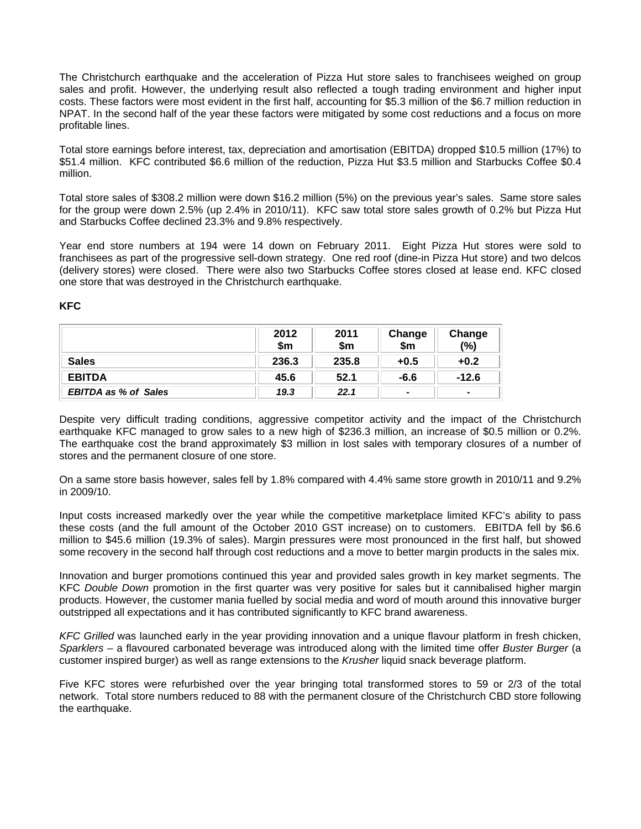The Christchurch earthquake and the acceleration of Pizza Hut store sales to franchisees weighed on group sales and profit. However, the underlying result also reflected a tough trading environment and higher input costs. These factors were most evident in the first half, accounting for \$5.3 million of the \$6.7 million reduction in NPAT. In the second half of the year these factors were mitigated by some cost reductions and a focus on more profitable lines.

Total store earnings before interest, tax, depreciation and amortisation (EBITDA) dropped \$10.5 million (17%) to \$51.4 million. KFC contributed \$6.6 million of the reduction, Pizza Hut \$3.5 million and Starbucks Coffee \$0.4 million.

Total store sales of \$308.2 million were down \$16.2 million (5%) on the previous year's sales. Same store sales for the group were down 2.5% (up 2.4% in 2010/11). KFC saw total store sales growth of 0.2% but Pizza Hut and Starbucks Coffee declined 23.3% and 9.8% respectively.

Year end store numbers at 194 were 14 down on February 2011. Eight Pizza Hut stores were sold to franchisees as part of the progressive sell-down strategy. One red roof (dine-in Pizza Hut store) and two delcos (delivery stores) were closed. There were also two Starbucks Coffee stores closed at lease end. KFC closed one store that was destroyed in the Christchurch earthquake.

|                             | 2012<br>\$m | 2011<br>\$m | Change<br>\$m            | Change<br>(%) |
|-----------------------------|-------------|-------------|--------------------------|---------------|
| <b>Sales</b>                | 236.3       | 235.8       | $+0.5$                   | $+0.2$        |
| <b>EBITDA</b>               | 45.6        | 52.1        | $-6.6$                   | $-12.6$       |
| <b>EBITDA as % of Sales</b> | 19.3        | 22.1        | $\overline{\phantom{0}}$ |               |

Despite very difficult trading conditions, aggressive competitor activity and the impact of the Christchurch earthquake KFC managed to grow sales to a new high of \$236.3 million, an increase of \$0.5 million or 0.2%. The earthquake cost the brand approximately \$3 million in lost sales with temporary closures of a number of stores and the permanent closure of one store.

On a same store basis however, sales fell by 1.8% compared with 4.4% same store growth in 2010/11 and 9.2% in 2009/10.

Input costs increased markedly over the year while the competitive marketplace limited KFC's ability to pass these costs (and the full amount of the October 2010 GST increase) on to customers. EBITDA fell by \$6.6 million to \$45.6 million (19.3% of sales). Margin pressures were most pronounced in the first half, but showed some recovery in the second half through cost reductions and a move to better margin products in the sales mix.

Innovation and burger promotions continued this year and provided sales growth in key market segments. The KFC *Double Down* promotion in the first quarter was very positive for sales but it cannibalised higher margin products. However, the customer mania fuelled by social media and word of mouth around this innovative burger outstripped all expectations and it has contributed significantly to KFC brand awareness.

*KFC Grilled* was launched early in the year providing innovation and a unique flavour platform in fresh chicken, *Sparklers* – a flavoured carbonated beverage was introduced along with the limited time offer *Buster Burger* (a customer inspired burger) as well as range extensions to the *Krusher* liquid snack beverage platform.

Five KFC stores were refurbished over the year bringing total transformed stores to 59 or 2/3 of the total network. Total store numbers reduced to 88 with the permanent closure of the Christchurch CBD store following the earthquake.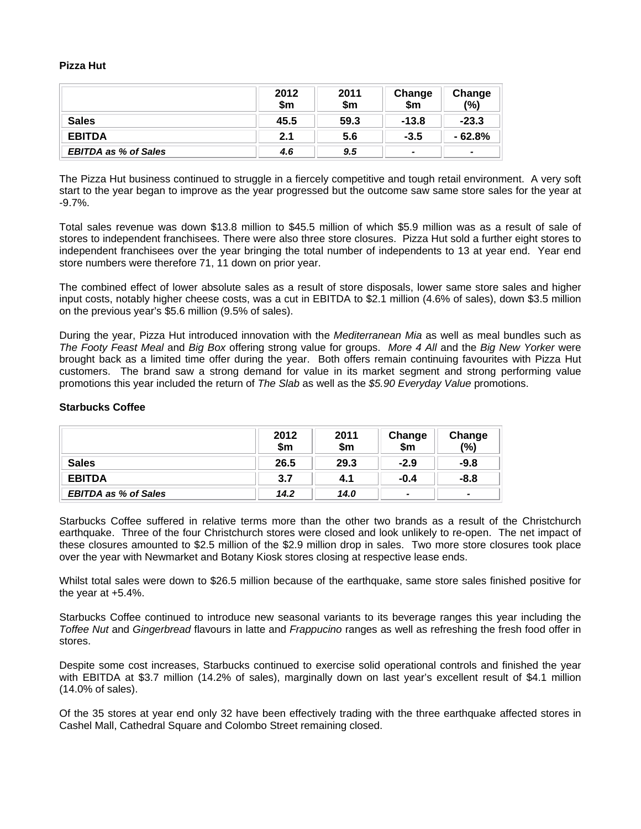#### **Pizza Hut**

|                             | 2012<br>\$m | 2011<br>\$m | Change<br>\$m            | Change<br>(%)            |
|-----------------------------|-------------|-------------|--------------------------|--------------------------|
| <b>Sales</b>                | 45.5        | 59.3        | $-13.8$                  | $-23.3$                  |
| <b>EBITDA</b>               | 2.1         | 5.6         | $-3.5$                   | $-62.8%$                 |
| <b>EBITDA as % of Sales</b> | 4.6         | 9.5         | $\overline{\phantom{0}}$ | $\overline{\phantom{0}}$ |

The Pizza Hut business continued to struggle in a fiercely competitive and tough retail environment. A very soft start to the year began to improve as the year progressed but the outcome saw same store sales for the year at -9.7%.

Total sales revenue was down \$13.8 million to \$45.5 million of which \$5.9 million was as a result of sale of stores to independent franchisees. There were also three store closures. Pizza Hut sold a further eight stores to independent franchisees over the year bringing the total number of independents to 13 at year end. Year end store numbers were therefore 71, 11 down on prior year.

The combined effect of lower absolute sales as a result of store disposals, lower same store sales and higher input costs, notably higher cheese costs, was a cut in EBITDA to \$2.1 million (4.6% of sales), down \$3.5 million on the previous year's \$5.6 million (9.5% of sales).

During the year, Pizza Hut introduced innovation with the *Mediterranean Mia* as well as meal bundles such as *The Footy Feast Meal* and *Big Box* offering strong value for groups. *More 4 All* and the *Big New Yorker* were brought back as a limited time offer during the year. Both offers remain continuing favourites with Pizza Hut customers. The brand saw a strong demand for value in its market segment and strong performing value promotions this year included the return of *The Slab* as well as the *\$5.90 Everyday Value* promotions.

## **Starbucks Coffee**

|                             | 2012<br>\$m | 2011<br>\$m | Change<br>\$m | Change<br>(%)            |
|-----------------------------|-------------|-------------|---------------|--------------------------|
| <b>Sales</b>                | 26.5        | 29.3        | $-2.9$        | $-9.8$                   |
| <b>EBITDA</b>               | 3.7         | 4.1         | $-0.4$        | -8.8                     |
| <b>EBITDA as % of Sales</b> | 14.2        | 14.0        | -             | $\overline{\phantom{0}}$ |

Starbucks Coffee suffered in relative terms more than the other two brands as a result of the Christchurch earthquake. Three of the four Christchurch stores were closed and look unlikely to re-open. The net impact of these closures amounted to \$2.5 million of the \$2.9 million drop in sales. Two more store closures took place over the year with Newmarket and Botany Kiosk stores closing at respective lease ends.

Whilst total sales were down to \$26.5 million because of the earthquake, same store sales finished positive for the year at +5.4%.

Starbucks Coffee continued to introduce new seasonal variants to its beverage ranges this year including the *Toffee Nut* and *Gingerbread* flavours in latte and *Frappucino* ranges as well as refreshing the fresh food offer in stores.

Despite some cost increases, Starbucks continued to exercise solid operational controls and finished the year with EBITDA at \$3.7 million (14.2% of sales), marginally down on last year's excellent result of \$4.1 million (14.0% of sales).

Of the 35 stores at year end only 32 have been effectively trading with the three earthquake affected stores in Cashel Mall, Cathedral Square and Colombo Street remaining closed.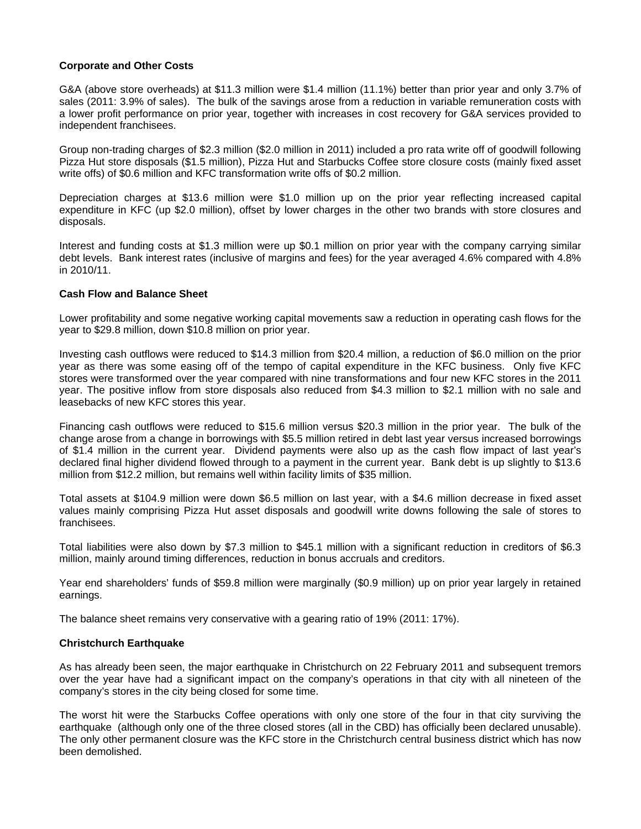## **Corporate and Other Costs**

G&A (above store overheads) at \$11.3 million were \$1.4 million (11.1%) better than prior year and only 3.7% of sales (2011: 3.9% of sales). The bulk of the savings arose from a reduction in variable remuneration costs with a lower profit performance on prior year, together with increases in cost recovery for G&A services provided to independent franchisees.

Group non-trading charges of \$2.3 million (\$2.0 million in 2011) included a pro rata write off of goodwill following Pizza Hut store disposals (\$1.5 million), Pizza Hut and Starbucks Coffee store closure costs (mainly fixed asset write offs) of \$0.6 million and KFC transformation write offs of \$0.2 million.

Depreciation charges at \$13.6 million were \$1.0 million up on the prior year reflecting increased capital expenditure in KFC (up \$2.0 million), offset by lower charges in the other two brands with store closures and disposals.

Interest and funding costs at \$1.3 million were up \$0.1 million on prior year with the company carrying similar debt levels. Bank interest rates (inclusive of margins and fees) for the year averaged 4.6% compared with 4.8% in 2010/11.

## **Cash Flow and Balance Sheet**

Lower profitability and some negative working capital movements saw a reduction in operating cash flows for the year to \$29.8 million, down \$10.8 million on prior year.

Investing cash outflows were reduced to \$14.3 million from \$20.4 million, a reduction of \$6.0 million on the prior year as there was some easing off of the tempo of capital expenditure in the KFC business. Only five KFC stores were transformed over the year compared with nine transformations and four new KFC stores in the 2011 year. The positive inflow from store disposals also reduced from \$4.3 million to \$2.1 million with no sale and leasebacks of new KFC stores this year.

Financing cash outflows were reduced to \$15.6 million versus \$20.3 million in the prior year. The bulk of the change arose from a change in borrowings with \$5.5 million retired in debt last year versus increased borrowings of \$1.4 million in the current year. Dividend payments were also up as the cash flow impact of last year's declared final higher dividend flowed through to a payment in the current year. Bank debt is up slightly to \$13.6 million from \$12.2 million, but remains well within facility limits of \$35 million.

Total assets at \$104.9 million were down \$6.5 million on last year, with a \$4.6 million decrease in fixed asset values mainly comprising Pizza Hut asset disposals and goodwill write downs following the sale of stores to franchisees.

Total liabilities were also down by \$7.3 million to \$45.1 million with a significant reduction in creditors of \$6.3 million, mainly around timing differences, reduction in bonus accruals and creditors.

Year end shareholders' funds of \$59.8 million were marginally (\$0.9 million) up on prior year largely in retained earnings.

The balance sheet remains very conservative with a gearing ratio of 19% (2011: 17%).

## **Christchurch Earthquake**

As has already been seen, the major earthquake in Christchurch on 22 February 2011 and subsequent tremors over the year have had a significant impact on the company's operations in that city with all nineteen of the company's stores in the city being closed for some time.

The worst hit were the Starbucks Coffee operations with only one store of the four in that city surviving the earthquake (although only one of the three closed stores (all in the CBD) has officially been declared unusable). The only other permanent closure was the KFC store in the Christchurch central business district which has now been demolished.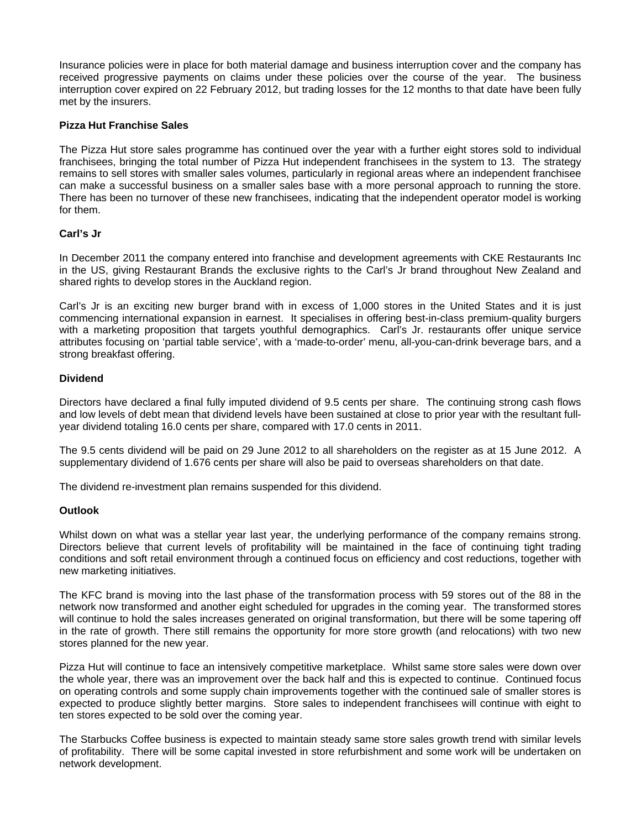Insurance policies were in place for both material damage and business interruption cover and the company has received progressive payments on claims under these policies over the course of the year. The business interruption cover expired on 22 February 2012, but trading losses for the 12 months to that date have been fully met by the insurers.

## **Pizza Hut Franchise Sales**

The Pizza Hut store sales programme has continued over the year with a further eight stores sold to individual franchisees, bringing the total number of Pizza Hut independent franchisees in the system to 13. The strategy remains to sell stores with smaller sales volumes, particularly in regional areas where an independent franchisee can make a successful business on a smaller sales base with a more personal approach to running the store. There has been no turnover of these new franchisees, indicating that the independent operator model is working for them.

## **Carl's Jr**

In December 2011 the company entered into franchise and development agreements with CKE Restaurants Inc in the US, giving Restaurant Brands the exclusive rights to the Carl's Jr brand throughout New Zealand and shared rights to develop stores in the Auckland region.

Carl's Jr is an exciting new burger brand with in excess of 1,000 stores in the United States and it is just commencing international expansion in earnest. It specialises in offering best-in-class premium-quality burgers with a marketing proposition that targets youthful demographics. Carl's Jr. restaurants offer unique service attributes focusing on 'partial table service', with a 'made-to-order' menu, all-you-can-drink beverage bars, and a strong breakfast offering.

#### **Dividend**

Directors have declared a final fully imputed dividend of 9.5 cents per share. The continuing strong cash flows and low levels of debt mean that dividend levels have been sustained at close to prior year with the resultant fullyear dividend totaling 16.0 cents per share, compared with 17.0 cents in 2011.

The 9.5 cents dividend will be paid on 29 June 2012 to all shareholders on the register as at 15 June 2012. A supplementary dividend of 1.676 cents per share will also be paid to overseas shareholders on that date.

The dividend re-investment plan remains suspended for this dividend.

#### **Outlook**

Whilst down on what was a stellar year last year, the underlying performance of the company remains strong. Directors believe that current levels of profitability will be maintained in the face of continuing tight trading conditions and soft retail environment through a continued focus on efficiency and cost reductions, together with new marketing initiatives.

The KFC brand is moving into the last phase of the transformation process with 59 stores out of the 88 in the network now transformed and another eight scheduled for upgrades in the coming year. The transformed stores will continue to hold the sales increases generated on original transformation, but there will be some tapering off in the rate of growth. There still remains the opportunity for more store growth (and relocations) with two new stores planned for the new year.

Pizza Hut will continue to face an intensively competitive marketplace. Whilst same store sales were down over the whole year, there was an improvement over the back half and this is expected to continue. Continued focus on operating controls and some supply chain improvements together with the continued sale of smaller stores is expected to produce slightly better margins. Store sales to independent franchisees will continue with eight to ten stores expected to be sold over the coming year.

The Starbucks Coffee business is expected to maintain steady same store sales growth trend with similar levels of profitability. There will be some capital invested in store refurbishment and some work will be undertaken on network development.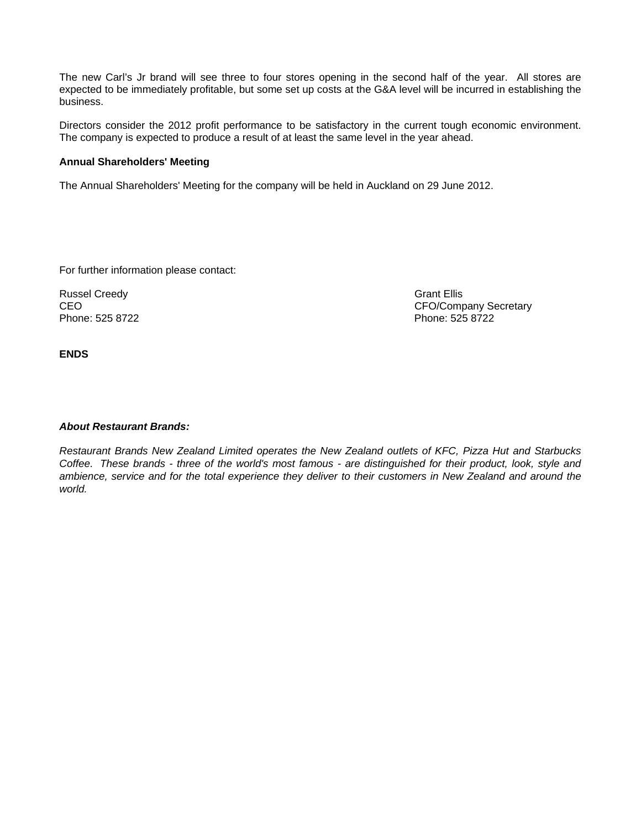The new Carl's Jr brand will see three to four stores opening in the second half of the year. All stores are expected to be immediately profitable, but some set up costs at the G&A level will be incurred in establishing the business.

Directors consider the 2012 profit performance to be satisfactory in the current tough economic environment. The company is expected to produce a result of at least the same level in the year ahead.

## **Annual Shareholders' Meeting**

The Annual Shareholders' Meeting for the company will be held in Auckland on 29 June 2012.

For further information please contact:

Russel Creedy Grant Ellis

CEO CEO COMPANY Secretary<br>
Phone: 525 8722<br>
Phone: 525 8722 Phone: 525 8722

**ENDS** 

# *About Restaurant Brands:*

*Restaurant Brands New Zealand Limited operates the New Zealand outlets of KFC, Pizza Hut and Starbucks Coffee. These brands - three of the world's most famous - are distinguished for their product, look, style and ambience, service and for the total experience they deliver to their customers in New Zealand and around the world.*